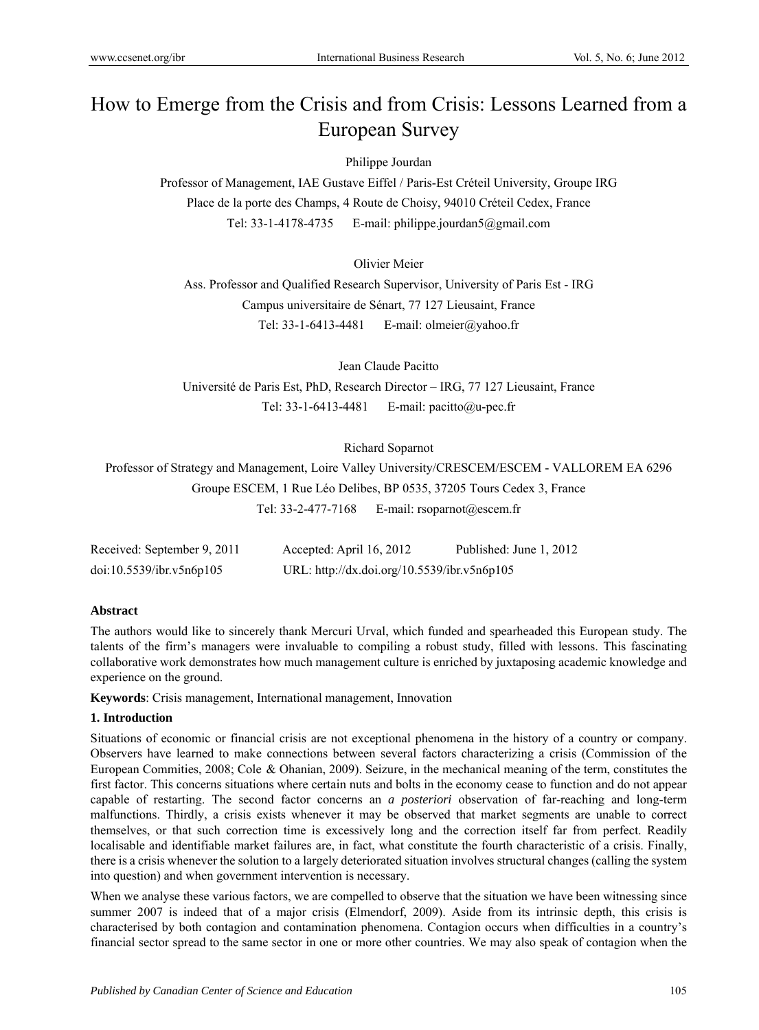# How to Emerge from the Crisis and from Crisis: Lessons Learned from a European Survey

Philippe Jourdan

Professor of Management, IAE Gustave Eiffel / Paris-Est Créteil University, Groupe IRG Place de la porte des Champs, 4 Route de Choisy, 94010 Créteil Cedex, France Tel: 33-1-4178-4735 E-mail: philippe.jourdan5@gmail.com

Olivier Meier

Ass. Professor and Qualified Research Supervisor, University of Paris Est - IRG Campus universitaire de Sénart, 77 127 Lieusaint, France Tel: 33-1-6413-4481 E-mail: olmeier@yahoo.fr

Jean Claude Pacitto

Université de Paris Est, PhD, Research Director – IRG, 77 127 Lieusaint, France Tel: 33-1-6413-4481 E-mail: pacitto@u-pec.fr

Richard Soparnot

Professor of Strategy and Management, Loire Valley University/CRESCEM/ESCEM - VALLOREM EA 6296 Groupe ESCEM, 1 Rue Léo Delibes, BP 0535, 37205 Tours Cedex 3, France Tel: 33-2-477-7168 E-mail: rsoparnot@escem.fr

| Received: September 9, 2011 | Accepted: April 16, 2012                    | Published: June 1, 2012 |
|-----------------------------|---------------------------------------------|-------------------------|
| doi:10.5539/ibr.v5n6p105    | URL: http://dx.doi.org/10.5539/ibr.v5n6p105 |                         |

## **Abstract**

The authors would like to sincerely thank Mercuri Urval, which funded and spearheaded this European study. The talents of the firm's managers were invaluable to compiling a robust study, filled with lessons. This fascinating collaborative work demonstrates how much management culture is enriched by juxtaposing academic knowledge and experience on the ground.

**Keywords**: Crisis management, International management, Innovation

#### **1. Introduction**

Situations of economic or financial crisis are not exceptional phenomena in the history of a country or company. Observers have learned to make connections between several factors characterizing a crisis (Commission of the European Commities, 2008; Cole & Ohanian, 2009). Seizure, in the mechanical meaning of the term, constitutes the first factor. This concerns situations where certain nuts and bolts in the economy cease to function and do not appear capable of restarting. The second factor concerns an *a posteriori* observation of far-reaching and long-term malfunctions. Thirdly, a crisis exists whenever it may be observed that market segments are unable to correct themselves, or that such correction time is excessively long and the correction itself far from perfect. Readily localisable and identifiable market failures are, in fact, what constitute the fourth characteristic of a crisis. Finally, there is a crisis whenever the solution to a largely deteriorated situation involves structural changes (calling the system into question) and when government intervention is necessary.

When we analyse these various factors, we are compelled to observe that the situation we have been witnessing since summer 2007 is indeed that of a major crisis (Elmendorf, 2009). Aside from its intrinsic depth, this crisis is characterised by both contagion and contamination phenomena. Contagion occurs when difficulties in a country's financial sector spread to the same sector in one or more other countries. We may also speak of contagion when the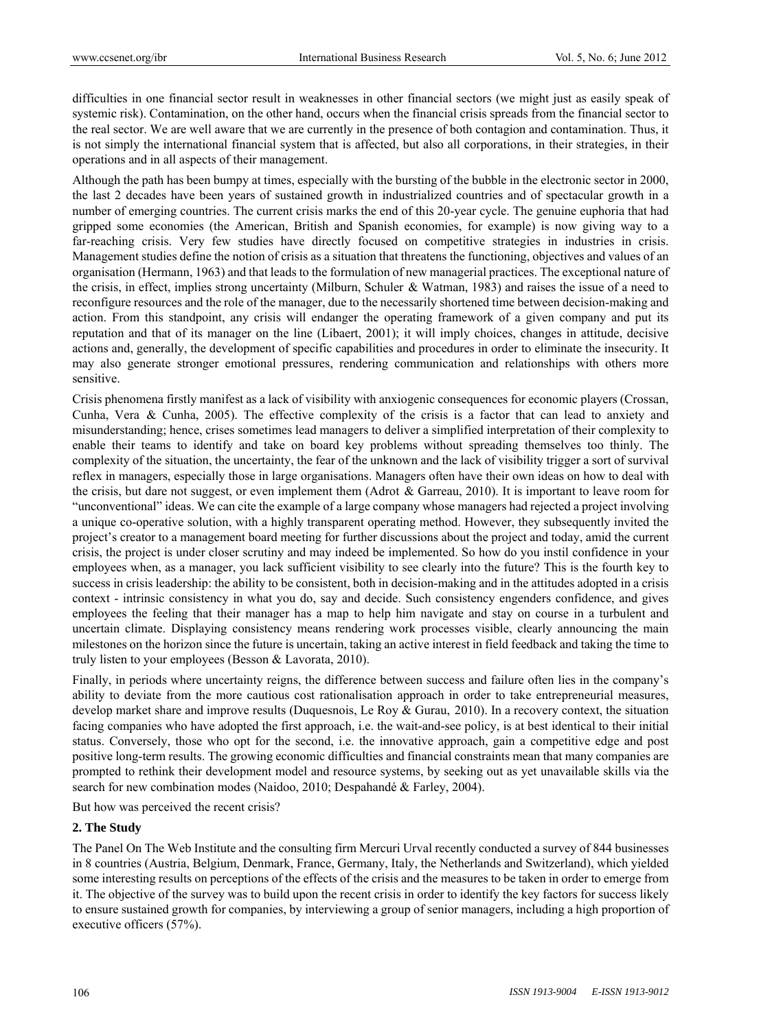difficulties in one financial sector result in weaknesses in other financial sectors (we might just as easily speak of systemic risk). Contamination, on the other hand, occurs when the financial crisis spreads from the financial sector to the real sector. We are well aware that we are currently in the presence of both contagion and contamination. Thus, it is not simply the international financial system that is affected, but also all corporations, in their strategies, in their operations and in all aspects of their management.

Although the path has been bumpy at times, especially with the bursting of the bubble in the electronic sector in 2000, the last 2 decades have been years of sustained growth in industrialized countries and of spectacular growth in a number of emerging countries. The current crisis marks the end of this 20-year cycle. The genuine euphoria that had gripped some economies (the American, British and Spanish economies, for example) is now giving way to a far-reaching crisis. Very few studies have directly focused on competitive strategies in industries in crisis. Management studies define the notion of crisis as a situation that threatens the functioning, objectives and values of an organisation (Hermann, 1963) and that leads to the formulation of new managerial practices. The exceptional nature of the crisis, in effect, implies strong uncertainty (Milburn, Schuler & Watman, 1983) and raises the issue of a need to reconfigure resources and the role of the manager, due to the necessarily shortened time between decision-making and action. From this standpoint, any crisis will endanger the operating framework of a given company and put its reputation and that of its manager on the line (Libaert, 2001); it will imply choices, changes in attitude, decisive actions and, generally, the development of specific capabilities and procedures in order to eliminate the insecurity. It may also generate stronger emotional pressures, rendering communication and relationships with others more sensitive.

Crisis phenomena firstly manifest as a lack of visibility with anxiogenic consequences for economic players (Crossan, Cunha, Vera & Cunha, 2005). The effective complexity of the crisis is a factor that can lead to anxiety and misunderstanding; hence, crises sometimes lead managers to deliver a simplified interpretation of their complexity to enable their teams to identify and take on board key problems without spreading themselves too thinly. The complexity of the situation, the uncertainty, the fear of the unknown and the lack of visibility trigger a sort of survival reflex in managers, especially those in large organisations. Managers often have their own ideas on how to deal with the crisis, but dare not suggest, or even implement them (Adrot & Garreau, 2010). It is important to leave room for "unconventional" ideas. We can cite the example of a large company whose managers had rejected a project involving a unique co-operative solution, with a highly transparent operating method. However, they subsequently invited the project's creator to a management board meeting for further discussions about the project and today, amid the current crisis, the project is under closer scrutiny and may indeed be implemented. So how do you instil confidence in your employees when, as a manager, you lack sufficient visibility to see clearly into the future? This is the fourth key to success in crisis leadership: the ability to be consistent, both in decision-making and in the attitudes adopted in a crisis context - intrinsic consistency in what you do, say and decide. Such consistency engenders confidence, and gives employees the feeling that their manager has a map to help him navigate and stay on course in a turbulent and uncertain climate. Displaying consistency means rendering work processes visible, clearly announcing the main milestones on the horizon since the future is uncertain, taking an active interest in field feedback and taking the time to truly listen to your employees (Besson & Lavorata, 2010).

Finally, in periods where uncertainty reigns, the difference between success and failure often lies in the company's ability to deviate from the more cautious cost rationalisation approach in order to take entrepreneurial measures, develop market share and improve results (Duquesnois, Le Roy & Gurau, 2010). In a recovery context, the situation facing companies who have adopted the first approach, i.e. the wait-and-see policy, is at best identical to their initial status. Conversely, those who opt for the second, i.e. the innovative approach, gain a competitive edge and post positive long-term results. The growing economic difficulties and financial constraints mean that many companies are prompted to rethink their development model and resource systems, by seeking out as yet unavailable skills via the search for new combination modes (Naidoo, 2010; Despahandé & Farley, 2004).

But how was perceived the recent crisis?

#### **2. The Study**

The Panel On The Web Institute and the consulting firm Mercuri Urval recently conducted a survey of 844 businesses in 8 countries (Austria, Belgium, Denmark, France, Germany, Italy, the Netherlands and Switzerland), which yielded some interesting results on perceptions of the effects of the crisis and the measures to be taken in order to emerge from it. The objective of the survey was to build upon the recent crisis in order to identify the key factors for success likely to ensure sustained growth for companies, by interviewing a group of senior managers, including a high proportion of executive officers (57%).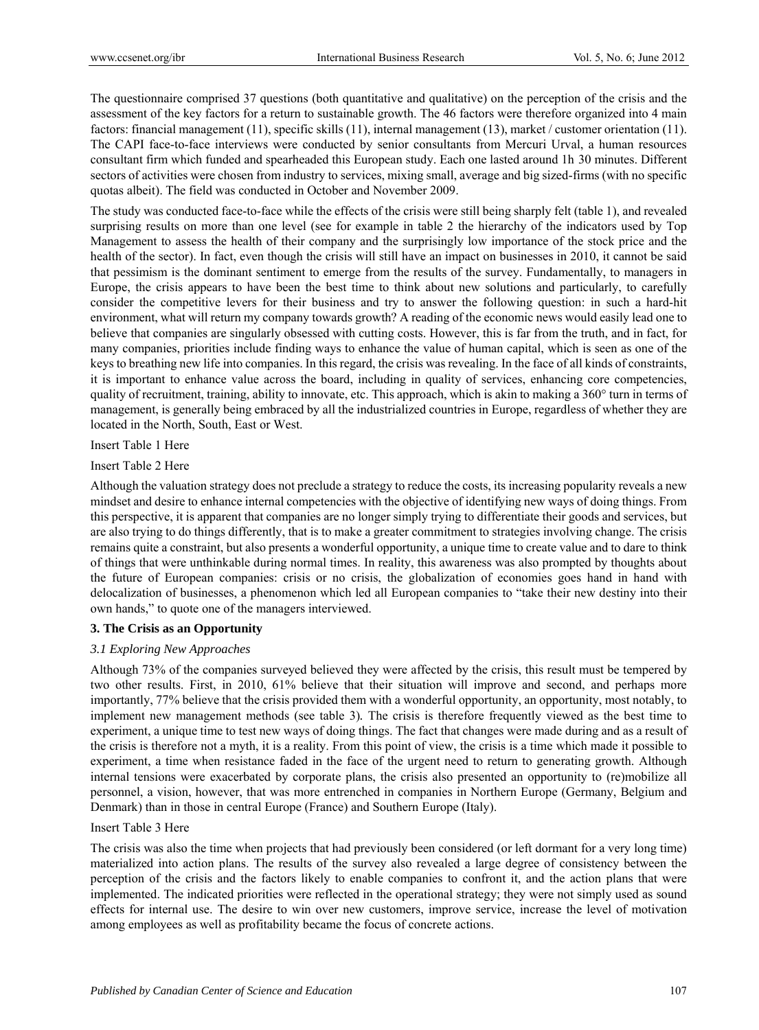The questionnaire comprised 37 questions (both quantitative and qualitative) on the perception of the crisis and the assessment of the key factors for a return to sustainable growth. The 46 factors were therefore organized into 4 main factors: financial management (11), specific skills (11), internal management (13), market / customer orientation (11). The CAPI face-to-face interviews were conducted by senior consultants from Mercuri Urval, a human resources consultant firm which funded and spearheaded this European study. Each one lasted around 1h 30 minutes. Different sectors of activities were chosen from industry to services, mixing small, average and big sized-firms (with no specific quotas albeit). The field was conducted in October and November 2009.

The study was conducted face-to-face while the effects of the crisis were still being sharply felt (table 1), and revealed surprising results on more than one level (see for example in table 2 the hierarchy of the indicators used by Top Management to assess the health of their company and the surprisingly low importance of the stock price and the health of the sector). In fact, even though the crisis will still have an impact on businesses in 2010, it cannot be said that pessimism is the dominant sentiment to emerge from the results of the survey. Fundamentally, to managers in Europe, the crisis appears to have been the best time to think about new solutions and particularly, to carefully consider the competitive levers for their business and try to answer the following question: in such a hard-hit environment, what will return my company towards growth? A reading of the economic news would easily lead one to believe that companies are singularly obsessed with cutting costs. However, this is far from the truth, and in fact, for many companies, priorities include finding ways to enhance the value of human capital, which is seen as one of the keys to breathing new life into companies. In this regard, the crisis was revealing. In the face of all kinds of constraints, it is important to enhance value across the board, including in quality of services, enhancing core competencies, quality of recruitment, training, ability to innovate, etc. This approach, which is akin to making a 360° turn in terms of management, is generally being embraced by all the industrialized countries in Europe, regardless of whether they are located in the North, South, East or West.

Insert Table 1 Here

Insert Table 2 Here

Although the valuation strategy does not preclude a strategy to reduce the costs, its increasing popularity reveals a new mindset and desire to enhance internal competencies with the objective of identifying new ways of doing things. From this perspective, it is apparent that companies are no longer simply trying to differentiate their goods and services, but are also trying to do things differently, that is to make a greater commitment to strategies involving change. The crisis remains quite a constraint, but also presents a wonderful opportunity, a unique time to create value and to dare to think of things that were unthinkable during normal times. In reality, this awareness was also prompted by thoughts about the future of European companies: crisis or no crisis, the globalization of economies goes hand in hand with delocalization of businesses, a phenomenon which led all European companies to "take their new destiny into their own hands," to quote one of the managers interviewed.

## **3. The Crisis as an Opportunity**

#### *3.1 Exploring New Approaches*

Although 73% of the companies surveyed believed they were affected by the crisis, this result must be tempered by two other results. First, in 2010, 61% believe that their situation will improve and second, and perhaps more importantly, 77% believe that the crisis provided them with a wonderful opportunity, an opportunity, most notably, to implement new management methods (see table 3)*.* The crisis is therefore frequently viewed as the best time to experiment, a unique time to test new ways of doing things. The fact that changes were made during and as a result of the crisis is therefore not a myth, it is a reality. From this point of view, the crisis is a time which made it possible to experiment, a time when resistance faded in the face of the urgent need to return to generating growth. Although internal tensions were exacerbated by corporate plans, the crisis also presented an opportunity to (re)mobilize all personnel, a vision, however, that was more entrenched in companies in Northern Europe (Germany, Belgium and Denmark) than in those in central Europe (France) and Southern Europe (Italy).

#### Insert Table 3 Here

The crisis was also the time when projects that had previously been considered (or left dormant for a very long time) materialized into action plans. The results of the survey also revealed a large degree of consistency between the perception of the crisis and the factors likely to enable companies to confront it, and the action plans that were implemented. The indicated priorities were reflected in the operational strategy; they were not simply used as sound effects for internal use. The desire to win over new customers, improve service, increase the level of motivation among employees as well as profitability became the focus of concrete actions.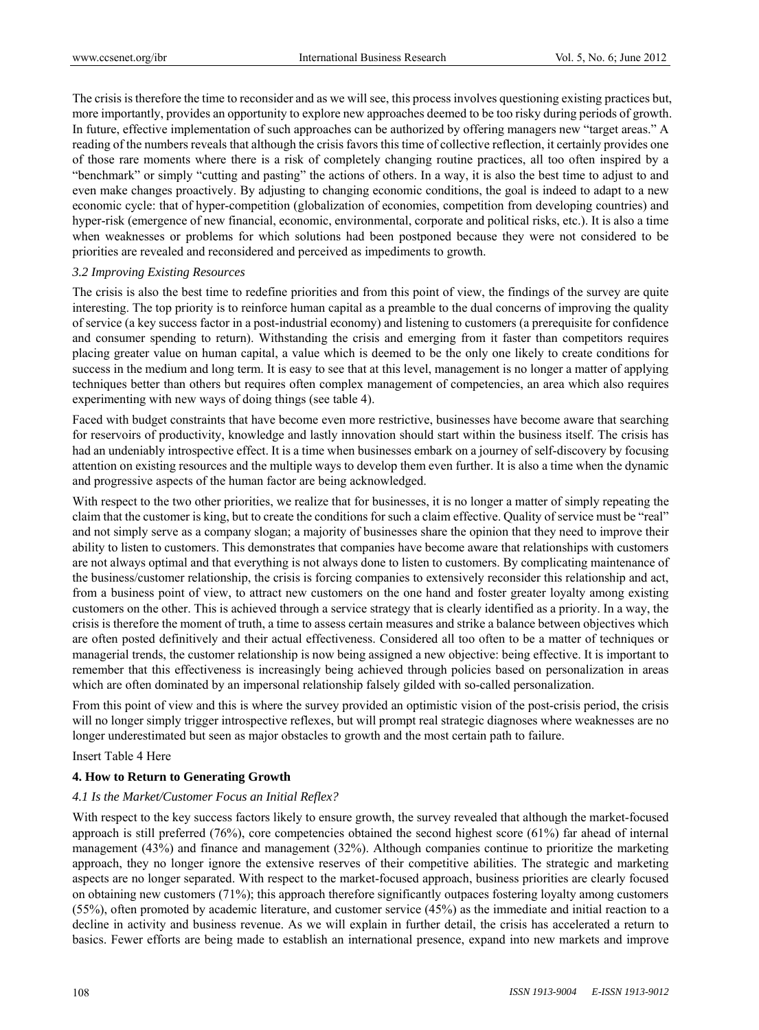The crisis is therefore the time to reconsider and as we will see, this process involves questioning existing practices but, more importantly, provides an opportunity to explore new approaches deemed to be too risky during periods of growth. In future, effective implementation of such approaches can be authorized by offering managers new "target areas." A reading of the numbers reveals that although the crisis favors this time of collective reflection, it certainly provides one of those rare moments where there is a risk of completely changing routine practices, all too often inspired by a "benchmark" or simply "cutting and pasting" the actions of others. In a way, it is also the best time to adjust to and even make changes proactively. By adjusting to changing economic conditions, the goal is indeed to adapt to a new economic cycle: that of hyper-competition (globalization of economies, competition from developing countries) and hyper-risk (emergence of new financial, economic, environmental, corporate and political risks, etc.). It is also a time when weaknesses or problems for which solutions had been postponed because they were not considered to be priorities are revealed and reconsidered and perceived as impediments to growth.

#### *3.2 Improving Existing Resources*

The crisis is also the best time to redefine priorities and from this point of view, the findings of the survey are quite interesting. The top priority is to reinforce human capital as a preamble to the dual concerns of improving the quality of service (a key success factor in a post-industrial economy) and listening to customers (a prerequisite for confidence and consumer spending to return). Withstanding the crisis and emerging from it faster than competitors requires placing greater value on human capital, a value which is deemed to be the only one likely to create conditions for success in the medium and long term. It is easy to see that at this level, management is no longer a matter of applying techniques better than others but requires often complex management of competencies, an area which also requires experimenting with new ways of doing things (see table 4).

Faced with budget constraints that have become even more restrictive, businesses have become aware that searching for reservoirs of productivity, knowledge and lastly innovation should start within the business itself. The crisis has had an undeniably introspective effect. It is a time when businesses embark on a journey of self-discovery by focusing attention on existing resources and the multiple ways to develop them even further. It is also a time when the dynamic and progressive aspects of the human factor are being acknowledged.

With respect to the two other priorities, we realize that for businesses, it is no longer a matter of simply repeating the claim that the customer is king, but to create the conditions for such a claim effective. Quality of service must be "real" and not simply serve as a company slogan; a majority of businesses share the opinion that they need to improve their ability to listen to customers. This demonstrates that companies have become aware that relationships with customers are not always optimal and that everything is not always done to listen to customers. By complicating maintenance of the business/customer relationship, the crisis is forcing companies to extensively reconsider this relationship and act, from a business point of view, to attract new customers on the one hand and foster greater loyalty among existing customers on the other. This is achieved through a service strategy that is clearly identified as a priority. In a way, the crisis is therefore the moment of truth, a time to assess certain measures and strike a balance between objectives which are often posted definitively and their actual effectiveness. Considered all too often to be a matter of techniques or managerial trends, the customer relationship is now being assigned a new objective: being effective. It is important to remember that this effectiveness is increasingly being achieved through policies based on personalization in areas which are often dominated by an impersonal relationship falsely gilded with so-called personalization.

From this point of view and this is where the survey provided an optimistic vision of the post-crisis period, the crisis will no longer simply trigger introspective reflexes, but will prompt real strategic diagnoses where weaknesses are no longer underestimated but seen as major obstacles to growth and the most certain path to failure.

Insert Table 4 Here

#### **4. How to Return to Generating Growth**

#### *4.1 Is the Market/Customer Focus an Initial Reflex?*

With respect to the key success factors likely to ensure growth, the survey revealed that although the market-focused approach is still preferred (76%), core competencies obtained the second highest score (61%) far ahead of internal management (43%) and finance and management (32%). Although companies continue to prioritize the marketing approach, they no longer ignore the extensive reserves of their competitive abilities. The strategic and marketing aspects are no longer separated. With respect to the market-focused approach, business priorities are clearly focused on obtaining new customers (71%); this approach therefore significantly outpaces fostering loyalty among customers (55%), often promoted by academic literature, and customer service (45%) as the immediate and initial reaction to a decline in activity and business revenue. As we will explain in further detail, the crisis has accelerated a return to basics. Fewer efforts are being made to establish an international presence, expand into new markets and improve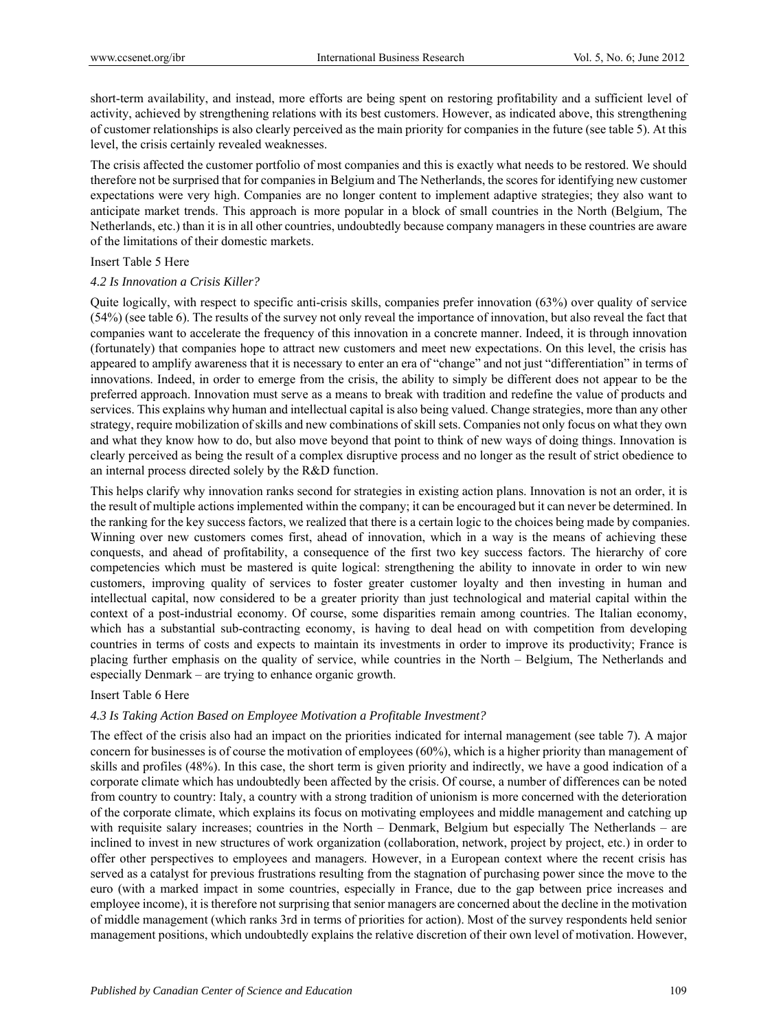short-term availability, and instead, more efforts are being spent on restoring profitability and a sufficient level of activity, achieved by strengthening relations with its best customers. However, as indicated above, this strengthening of customer relationships is also clearly perceived as the main priority for companies in the future (see table 5). At this level, the crisis certainly revealed weaknesses.

The crisis affected the customer portfolio of most companies and this is exactly what needs to be restored. We should therefore not be surprised that for companies in Belgium and The Netherlands, the scores for identifying new customer expectations were very high. Companies are no longer content to implement adaptive strategies; they also want to anticipate market trends. This approach is more popular in a block of small countries in the North (Belgium, The Netherlands, etc.) than it is in all other countries, undoubtedly because company managers in these countries are aware of the limitations of their domestic markets.

#### Insert Table 5 Here

#### *4.2 Is Innovation a Crisis Killer?*

Quite logically, with respect to specific anti-crisis skills, companies prefer innovation (63%) over quality of service (54%) (see table 6). The results of the survey not only reveal the importance of innovation, but also reveal the fact that companies want to accelerate the frequency of this innovation in a concrete manner. Indeed, it is through innovation (fortunately) that companies hope to attract new customers and meet new expectations. On this level, the crisis has appeared to amplify awareness that it is necessary to enter an era of "change" and not just "differentiation" in terms of innovations. Indeed, in order to emerge from the crisis, the ability to simply be different does not appear to be the preferred approach. Innovation must serve as a means to break with tradition and redefine the value of products and services. This explains why human and intellectual capital is also being valued. Change strategies, more than any other strategy, require mobilization of skills and new combinations of skill sets. Companies not only focus on what they own and what they know how to do, but also move beyond that point to think of new ways of doing things. Innovation is clearly perceived as being the result of a complex disruptive process and no longer as the result of strict obedience to an internal process directed solely by the R&D function.

This helps clarify why innovation ranks second for strategies in existing action plans. Innovation is not an order, it is the result of multiple actions implemented within the company; it can be encouraged but it can never be determined. In the ranking for the key success factors, we realized that there is a certain logic to the choices being made by companies. Winning over new customers comes first, ahead of innovation, which in a way is the means of achieving these conquests, and ahead of profitability, a consequence of the first two key success factors. The hierarchy of core competencies which must be mastered is quite logical: strengthening the ability to innovate in order to win new customers, improving quality of services to foster greater customer loyalty and then investing in human and intellectual capital, now considered to be a greater priority than just technological and material capital within the context of a post-industrial economy. Of course, some disparities remain among countries. The Italian economy, which has a substantial sub-contracting economy, is having to deal head on with competition from developing countries in terms of costs and expects to maintain its investments in order to improve its productivity; France is placing further emphasis on the quality of service, while countries in the North – Belgium, The Netherlands and especially Denmark – are trying to enhance organic growth.

#### Insert Table 6 Here

#### *4.3 Is Taking Action Based on Employee Motivation a Profitable Investment?*

The effect of the crisis also had an impact on the priorities indicated for internal management (see table 7)*.* A major concern for businesses is of course the motivation of employees (60%), which is a higher priority than management of skills and profiles (48%). In this case, the short term is given priority and indirectly, we have a good indication of a corporate climate which has undoubtedly been affected by the crisis. Of course, a number of differences can be noted from country to country: Italy, a country with a strong tradition of unionism is more concerned with the deterioration of the corporate climate, which explains its focus on motivating employees and middle management and catching up with requisite salary increases; countries in the North – Denmark, Belgium but especially The Netherlands – are inclined to invest in new structures of work organization (collaboration, network, project by project, etc.) in order to offer other perspectives to employees and managers. However, in a European context where the recent crisis has served as a catalyst for previous frustrations resulting from the stagnation of purchasing power since the move to the euro (with a marked impact in some countries, especially in France, due to the gap between price increases and employee income), it is therefore not surprising that senior managers are concerned about the decline in the motivation of middle management (which ranks 3rd in terms of priorities for action). Most of the survey respondents held senior management positions, which undoubtedly explains the relative discretion of their own level of motivation. However,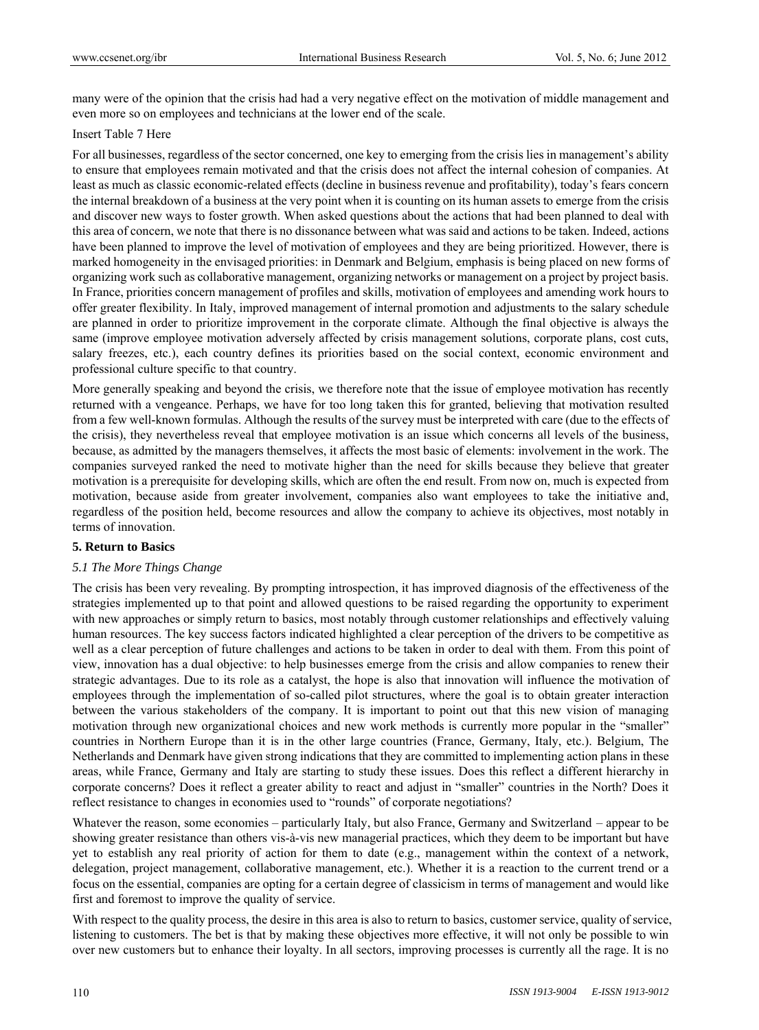many were of the opinion that the crisis had had a very negative effect on the motivation of middle management and even more so on employees and technicians at the lower end of the scale.

#### Insert Table 7 Here

For all businesses, regardless of the sector concerned, one key to emerging from the crisis lies in management's ability to ensure that employees remain motivated and that the crisis does not affect the internal cohesion of companies. At least as much as classic economic-related effects (decline in business revenue and profitability), today's fears concern the internal breakdown of a business at the very point when it is counting on its human assets to emerge from the crisis and discover new ways to foster growth. When asked questions about the actions that had been planned to deal with this area of concern, we note that there is no dissonance between what was said and actions to be taken. Indeed, actions have been planned to improve the level of motivation of employees and they are being prioritized. However, there is marked homogeneity in the envisaged priorities: in Denmark and Belgium, emphasis is being placed on new forms of organizing work such as collaborative management, organizing networks or management on a project by project basis. In France, priorities concern management of profiles and skills, motivation of employees and amending work hours to offer greater flexibility. In Italy, improved management of internal promotion and adjustments to the salary schedule are planned in order to prioritize improvement in the corporate climate. Although the final objective is always the same (improve employee motivation adversely affected by crisis management solutions, corporate plans, cost cuts, salary freezes, etc.), each country defines its priorities based on the social context, economic environment and professional culture specific to that country.

More generally speaking and beyond the crisis, we therefore note that the issue of employee motivation has recently returned with a vengeance. Perhaps, we have for too long taken this for granted, believing that motivation resulted from a few well-known formulas. Although the results of the survey must be interpreted with care (due to the effects of the crisis), they nevertheless reveal that employee motivation is an issue which concerns all levels of the business, because, as admitted by the managers themselves, it affects the most basic of elements: involvement in the work. The companies surveyed ranked the need to motivate higher than the need for skills because they believe that greater motivation is a prerequisite for developing skills, which are often the end result. From now on, much is expected from motivation, because aside from greater involvement, companies also want employees to take the initiative and, regardless of the position held, become resources and allow the company to achieve its objectives, most notably in terms of innovation.

#### **5. Return to Basics**

#### *5.1 The More Things Change*

The crisis has been very revealing. By prompting introspection, it has improved diagnosis of the effectiveness of the strategies implemented up to that point and allowed questions to be raised regarding the opportunity to experiment with new approaches or simply return to basics, most notably through customer relationships and effectively valuing human resources. The key success factors indicated highlighted a clear perception of the drivers to be competitive as well as a clear perception of future challenges and actions to be taken in order to deal with them. From this point of view, innovation has a dual objective: to help businesses emerge from the crisis and allow companies to renew their strategic advantages. Due to its role as a catalyst, the hope is also that innovation will influence the motivation of employees through the implementation of so-called pilot structures, where the goal is to obtain greater interaction between the various stakeholders of the company. It is important to point out that this new vision of managing motivation through new organizational choices and new work methods is currently more popular in the "smaller" countries in Northern Europe than it is in the other large countries (France, Germany, Italy, etc.). Belgium, The Netherlands and Denmark have given strong indications that they are committed to implementing action plans in these areas, while France, Germany and Italy are starting to study these issues. Does this reflect a different hierarchy in corporate concerns? Does it reflect a greater ability to react and adjust in "smaller" countries in the North? Does it reflect resistance to changes in economies used to "rounds" of corporate negotiations?

Whatever the reason, some economies – particularly Italy, but also France, Germany and Switzerland – appear to be showing greater resistance than others vis-à-vis new managerial practices, which they deem to be important but have yet to establish any real priority of action for them to date (e.g., management within the context of a network, delegation, project management, collaborative management, etc.). Whether it is a reaction to the current trend or a focus on the essential, companies are opting for a certain degree of classicism in terms of management and would like first and foremost to improve the quality of service.

With respect to the quality process, the desire in this area is also to return to basics, customer service, quality of service, listening to customers. The bet is that by making these objectives more effective, it will not only be possible to win over new customers but to enhance their loyalty. In all sectors, improving processes is currently all the rage. It is no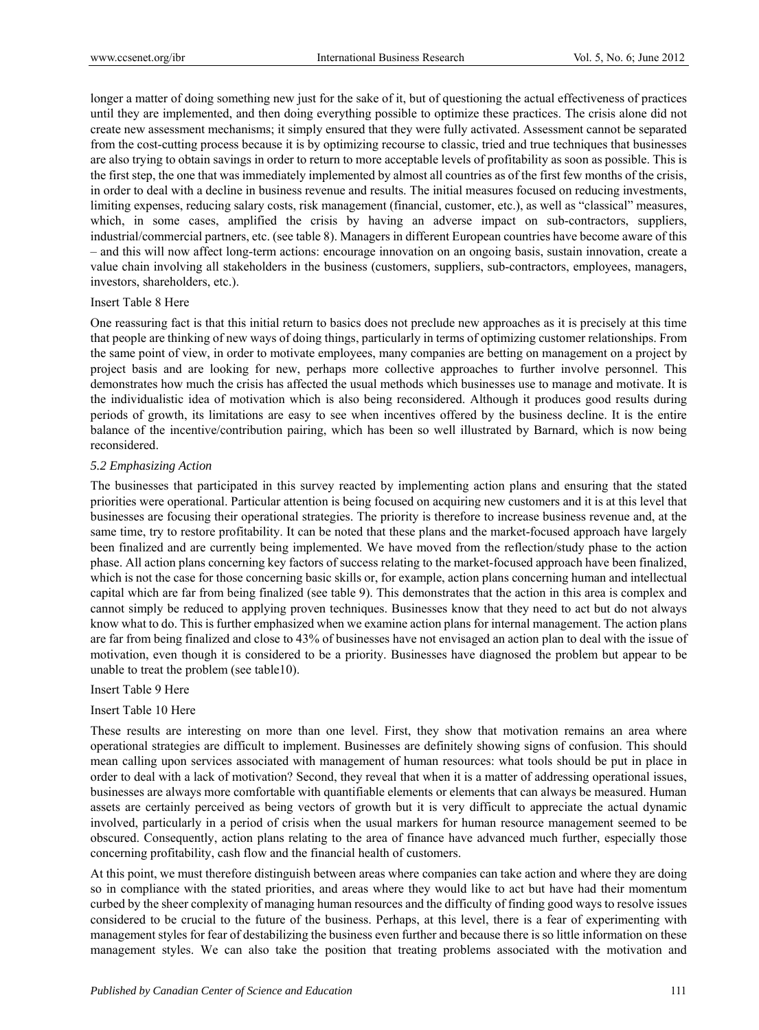longer a matter of doing something new just for the sake of it, but of questioning the actual effectiveness of practices until they are implemented, and then doing everything possible to optimize these practices. The crisis alone did not create new assessment mechanisms; it simply ensured that they were fully activated. Assessment cannot be separated from the cost-cutting process because it is by optimizing recourse to classic, tried and true techniques that businesses are also trying to obtain savings in order to return to more acceptable levels of profitability as soon as possible. This is the first step, the one that was immediately implemented by almost all countries as of the first few months of the crisis, in order to deal with a decline in business revenue and results. The initial measures focused on reducing investments, limiting expenses, reducing salary costs, risk management (financial, customer, etc.), as well as "classical" measures, which, in some cases, amplified the crisis by having an adverse impact on sub-contractors, suppliers, industrial/commercial partners, etc. (see table 8). Managers in different European countries have become aware of this – and this will now affect long-term actions: encourage innovation on an ongoing basis, sustain innovation, create a value chain involving all stakeholders in the business (customers, suppliers, sub-contractors, employees, managers, investors, shareholders, etc.).

#### Insert Table 8 Here

One reassuring fact is that this initial return to basics does not preclude new approaches as it is precisely at this time that people are thinking of new ways of doing things, particularly in terms of optimizing customer relationships. From the same point of view, in order to motivate employees, many companies are betting on management on a project by project basis and are looking for new, perhaps more collective approaches to further involve personnel. This demonstrates how much the crisis has affected the usual methods which businesses use to manage and motivate. It is the individualistic idea of motivation which is also being reconsidered. Although it produces good results during periods of growth, its limitations are easy to see when incentives offered by the business decline. It is the entire balance of the incentive/contribution pairing, which has been so well illustrated by Barnard, which is now being reconsidered.

#### *5.2 Emphasizing Action*

The businesses that participated in this survey reacted by implementing action plans and ensuring that the stated priorities were operational. Particular attention is being focused on acquiring new customers and it is at this level that businesses are focusing their operational strategies. The priority is therefore to increase business revenue and, at the same time, try to restore profitability. It can be noted that these plans and the market-focused approach have largely been finalized and are currently being implemented. We have moved from the reflection/study phase to the action phase. All action plans concerning key factors of success relating to the market-focused approach have been finalized, which is not the case for those concerning basic skills or, for example, action plans concerning human and intellectual capital which are far from being finalized (see table 9). This demonstrates that the action in this area is complex and cannot simply be reduced to applying proven techniques. Businesses know that they need to act but do not always know what to do. This is further emphasized when we examine action plans for internal management. The action plans are far from being finalized and close to 43% of businesses have not envisaged an action plan to deal with the issue of motivation, even though it is considered to be a priority. Businesses have diagnosed the problem but appear to be unable to treat the problem (see table10).

#### Insert Table 9 Here

#### Insert Table 10 Here

These results are interesting on more than one level. First, they show that motivation remains an area where operational strategies are difficult to implement. Businesses are definitely showing signs of confusion. This should mean calling upon services associated with management of human resources: what tools should be put in place in order to deal with a lack of motivation? Second, they reveal that when it is a matter of addressing operational issues, businesses are always more comfortable with quantifiable elements or elements that can always be measured. Human assets are certainly perceived as being vectors of growth but it is very difficult to appreciate the actual dynamic involved, particularly in a period of crisis when the usual markers for human resource management seemed to be obscured. Consequently, action plans relating to the area of finance have advanced much further, especially those concerning profitability, cash flow and the financial health of customers.

At this point, we must therefore distinguish between areas where companies can take action and where they are doing so in compliance with the stated priorities, and areas where they would like to act but have had their momentum curbed by the sheer complexity of managing human resources and the difficulty of finding good ways to resolve issues considered to be crucial to the future of the business. Perhaps, at this level, there is a fear of experimenting with management styles for fear of destabilizing the business even further and because there is so little information on these management styles. We can also take the position that treating problems associated with the motivation and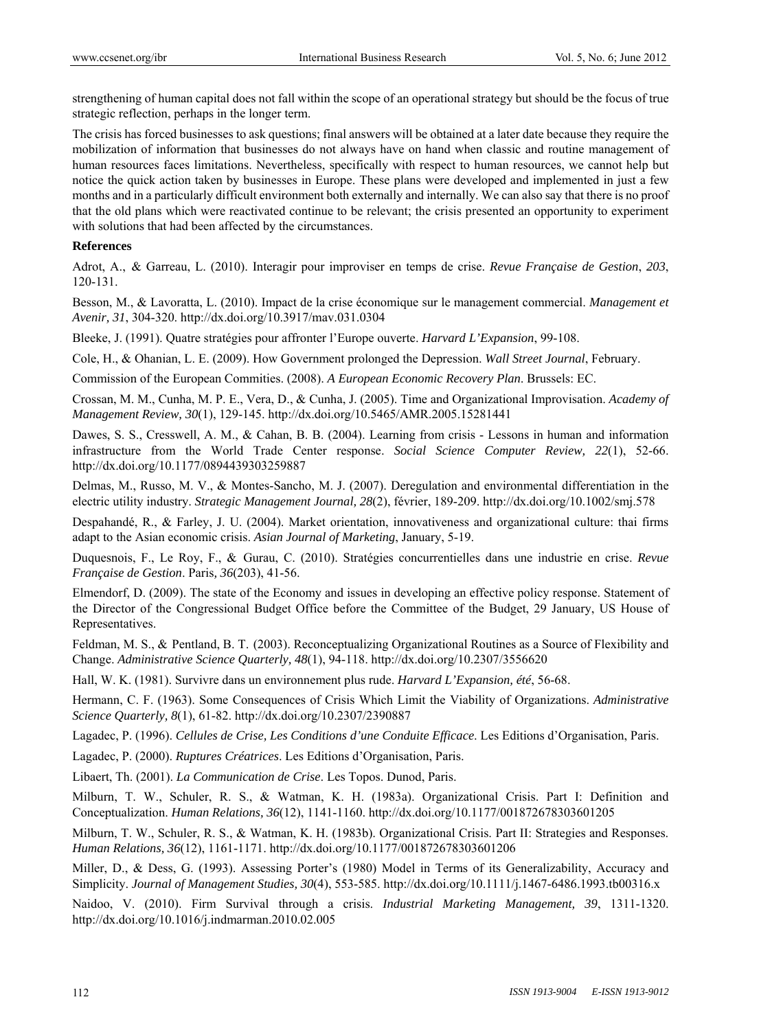strengthening of human capital does not fall within the scope of an operational strategy but should be the focus of true strategic reflection, perhaps in the longer term.

The crisis has forced businesses to ask questions; final answers will be obtained at a later date because they require the mobilization of information that businesses do not always have on hand when classic and routine management of human resources faces limitations. Nevertheless, specifically with respect to human resources, we cannot help but notice the quick action taken by businesses in Europe. These plans were developed and implemented in just a few months and in a particularly difficult environment both externally and internally. We can also say that there is no proof that the old plans which were reactivated continue to be relevant; the crisis presented an opportunity to experiment with solutions that had been affected by the circumstances.

#### **References**

Adrot, A., & Garreau, L. (2010). Interagir pour improviser en temps de crise. *Revue Française de Gestion*, *203*, 120-131.

Besson, M., & Lavoratta, L. (2010). Impact de la crise économique sur le management commercial. *Management et Avenir, 31*, 304-320. http://dx.doi.org/10.3917/mav.031.0304

Bleeke, J. (1991). Quatre stratégies pour affronter l'Europe ouverte. *Harvard L'Expansion*, 99-108.

Cole, H., & Ohanian, L. E. (2009). How Government prolonged the Depression. *Wall Street Journal*, February.

Commission of the European Commities. (2008). *A European Economic Recovery Plan*. Brussels: EC.

Crossan, M. M., Cunha, M. P. E., Vera, D., & Cunha, J. (2005). Time and Organizational Improvisation. *Academy of Management Review, 30*(1), 129-145. http://dx.doi.org/10.5465/AMR.2005.15281441

Dawes, S. S., Cresswell, A. M., & Cahan, B. B. (2004). Learning from crisis - Lessons in human and information infrastructure from the World Trade Center response. *Social Science Computer Review, 22*(1), 52-66. http://dx.doi.org/10.1177/0894439303259887

Delmas, M., Russo, M. V., & Montes-Sancho, M. J. (2007). Deregulation and environmental differentiation in the electric utility industry. *Strategic Management Journal, 28*(2), février, 189-209. http://dx.doi.org/10.1002/smj.578

Despahandé, R., & Farley, J. U. (2004). Market orientation, innovativeness and organizational culture: thai firms adapt to the Asian economic crisis. *Asian Journal of Marketing*, January, 5-19.

Duquesnois, F., Le Roy, F., & Gurau, C. (2010). Stratégies concurrentielles dans une industrie en crise. *Revue Française de Gestion*. Paris*, 36*(203), 41-56.

Elmendorf, D. (2009). The state of the Economy and issues in developing an effective policy response. Statement of the Director of the Congressional Budget Office before the Committee of the Budget, 29 January, US House of Representatives.

Feldman, M. S., & Pentland, B. T. (2003). Reconceptualizing Organizational Routines as a Source of Flexibility and Change. *Administrative Science Quarterly, 48*(1), 94-118. http://dx.doi.org/10.2307/3556620

Hall, W. K. (1981). Survivre dans un environnement plus rude. *Harvard L'Expansion, été*, 56-68.

Hermann, C. F. (1963). Some Consequences of Crisis Which Limit the Viability of Organizations. *Administrative Science Quarterly, 8*(1), 61-82. http://dx.doi.org/10.2307/2390887

Lagadec, P. (1996). *Cellules de Crise, Les Conditions d'une Conduite Efficace*. Les Editions d'Organisation, Paris.

Lagadec, P. (2000). *Ruptures Créatrices*. Les Editions d'Organisation, Paris.

Libaert, Th. (2001). *La Communication de Crise*. Les Topos. Dunod, Paris.

Milburn, T. W., Schuler, R. S., & Watman, K. H. (1983a). Organizational Crisis. Part I: Definition and Conceptualization. *Human Relations, 36*(12), 1141-1160. http://dx.doi.org/10.1177/001872678303601205

Milburn, T. W., Schuler, R. S., & Watman, K. H. (1983b). Organizational Crisis. Part II: Strategies and Responses. *Human Relations, 36*(12), 1161-1171. http://dx.doi.org/10.1177/001872678303601206

Miller, D., & Dess, G. (1993). Assessing Porter's (1980) Model in Terms of its Generalizability, Accuracy and Simplicity. *Journal of Management Studies, 30*(4), 553-585. http://dx.doi.org/10.1111/j.1467-6486.1993.tb00316.x

Naidoo, V. (2010). Firm Survival through a crisis. *Industrial Marketing Management, 39*, 1311-1320. http://dx.doi.org/10.1016/j.indmarman.2010.02.005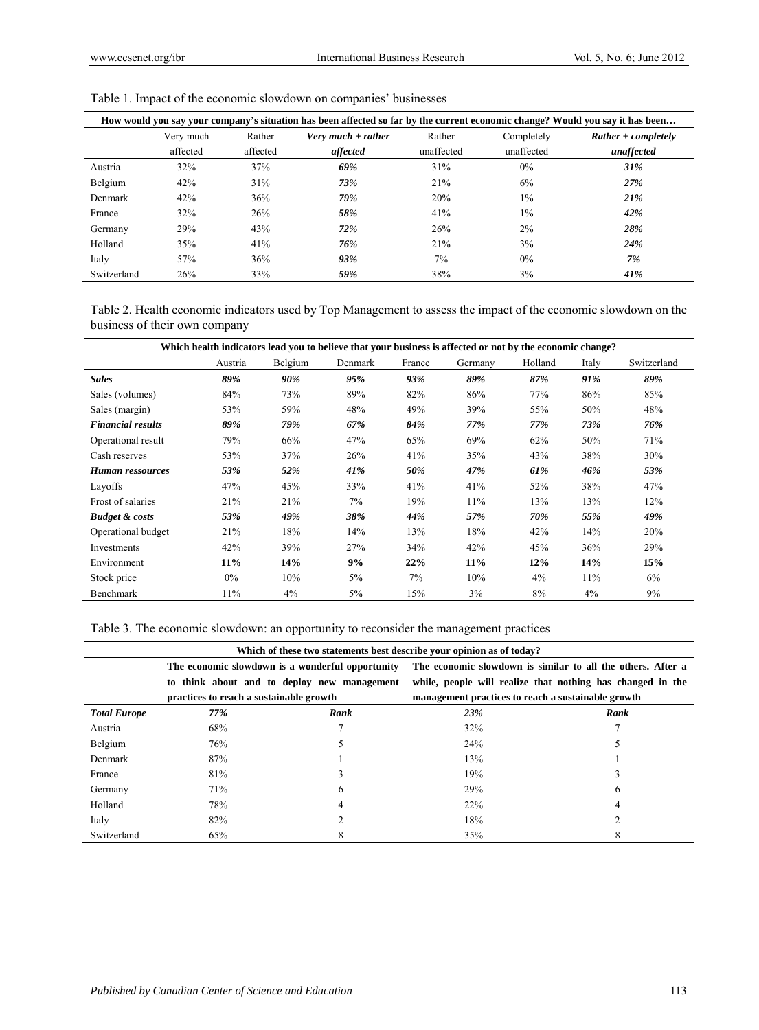|             |           |          | How would you say your company's situation has been affected so far by the current economic change? Would you say it has been |            |            |                       |
|-------------|-----------|----------|-------------------------------------------------------------------------------------------------------------------------------|------------|------------|-----------------------|
|             | Very much | Rather   | Very much + rather                                                                                                            | Rather     | Completely | $Rather + completely$ |
|             | affected  | affected | affected                                                                                                                      | unaffected | unaffected | unaffected            |
| Austria     | 32%       | 37%      | 69%                                                                                                                           | 31%        | $0\%$      | 31%                   |
| Belgium     | 42%       | 31%      | 73%                                                                                                                           | 21%        | 6%         | 27%                   |
| Denmark     | 42%       | 36%      | 79%                                                                                                                           | 20%        | $1\%$      | 21%                   |
| France      | 32%       | 26%      | 58%                                                                                                                           | 41%        | $1\%$      | 42%                   |
| Germany     | 29%       | 43%      | 72%                                                                                                                           | 26%        | $2\%$      | 28%                   |
| Holland     | 35%       | 41%      | 76%                                                                                                                           | 21%        | 3%         | 24%                   |
| Italy       | 57%       | 36%      | 93%                                                                                                                           | 7%         | $0\%$      | 7%                    |
| Switzerland | 26%       | 33%      | 59%                                                                                                                           | 38%        | 3%         | 41%                   |

Table 1. Impact of the economic slowdown on companies' businesses

Table 2. Health economic indicators used by Top Management to assess the impact of the economic slowdown on the business of their own company

| Which health indicators lead you to believe that your business is affected or not by the economic change? |         |         |         |        |         |         |       |             |  |  |  |
|-----------------------------------------------------------------------------------------------------------|---------|---------|---------|--------|---------|---------|-------|-------------|--|--|--|
|                                                                                                           | Austria | Belgium | Denmark | France | Germany | Holland | Italy | Switzerland |  |  |  |
| <b>Sales</b>                                                                                              | 89%     | 90%     | 95%     | 93%    | 89%     | 87%     | 91%   | 89%         |  |  |  |
| Sales (volumes)                                                                                           | 84%     | 73%     | 89%     | 82%    | 86%     | 77%     | 86%   | 85%         |  |  |  |
| Sales (margin)                                                                                            | 53%     | 59%     | 48%     | 49%    | 39%     | 55%     | 50%   | 48%         |  |  |  |
| <b>Financial results</b>                                                                                  | 89%     | 79%     | 67%     | 84%    | 77%     | 77%     | 73%   | 76%         |  |  |  |
| Operational result                                                                                        | 79%     | 66%     | 47%     | 65%    | 69%     | 62%     | 50%   | 71%         |  |  |  |
| Cash reserves                                                                                             | 53%     | 37%     | 26%     | 41%    | 35%     | 43%     | 38%   | 30%         |  |  |  |
| <b>Human</b> ressources                                                                                   | 53%     | 52%     | 41%     | 50%    | 47%     | 61%     | 46%   | 53%         |  |  |  |
| Layoffs                                                                                                   | 47%     | 45%     | 33%     | 41%    | 41%     | 52%     | 38%   | 47%         |  |  |  |
| Frost of salaries                                                                                         | 21%     | 21%     | $7\%$   | 19%    | 11%     | 13%     | 13%   | 12%         |  |  |  |
| <b>Budget &amp; costs</b>                                                                                 | 53%     | 49%     | 38%     | 44%    | 57%     | 70%     | 55%   | 49%         |  |  |  |
| Operational budget                                                                                        | 21%     | 18%     | 14%     | 13%    | 18%     | 42%     | 14%   | 20%         |  |  |  |
| Investments                                                                                               | 42%     | 39%     | 27%     | 34%    | 42%     | 45%     | 36%   | 29%         |  |  |  |
| Environment                                                                                               | 11%     | 14%     | 9%      | 22%    | 11%     | 12%     | 14%   | 15%         |  |  |  |
| Stock price                                                                                               | $0\%$   | 10%     | $5\%$   | 7%     | 10%     | 4%      | 11%   | 6%          |  |  |  |
| Benchmark                                                                                                 | 11%     | $4\%$   | 5%      | 15%    | 3%      | 8%      | 4%    | 9%          |  |  |  |

Table 3. The economic slowdown: an opportunity to reconsider the management practices

| Which of these two statements best describe your opinion as of today? |                                         |                                                  |                                                             |                                                            |  |  |  |  |  |  |
|-----------------------------------------------------------------------|-----------------------------------------|--------------------------------------------------|-------------------------------------------------------------|------------------------------------------------------------|--|--|--|--|--|--|
|                                                                       |                                         | The economic slowdown is a wonderful opportunity | The economic slowdown is similar to all the others. After a |                                                            |  |  |  |  |  |  |
|                                                                       |                                         | to think about and to deploy new management      |                                                             | while, people will realize that nothing has changed in the |  |  |  |  |  |  |
|                                                                       | practices to reach a sustainable growth |                                                  | management practices to reach a sustainable growth          |                                                            |  |  |  |  |  |  |
| <b>Total Europe</b>                                                   | 77%                                     | Rank                                             | 23%                                                         | Rank                                                       |  |  |  |  |  |  |
| Austria                                                               | 68%                                     |                                                  | 32%                                                         |                                                            |  |  |  |  |  |  |
| Belgium                                                               | 76%                                     | 5                                                | 24%                                                         |                                                            |  |  |  |  |  |  |
| Denmark                                                               | 87%                                     |                                                  | 13%                                                         |                                                            |  |  |  |  |  |  |
| France                                                                | 81%                                     |                                                  | 19%                                                         |                                                            |  |  |  |  |  |  |
| Germany                                                               | 71%                                     | <sub>(</sub>                                     | 29%                                                         | O                                                          |  |  |  |  |  |  |
| Holland                                                               | 78%                                     | 4                                                | 22%                                                         |                                                            |  |  |  |  |  |  |
| Italy                                                                 | 82%                                     |                                                  | 18%                                                         |                                                            |  |  |  |  |  |  |
| Switzerland                                                           | 65%                                     |                                                  | 35%                                                         | 8                                                          |  |  |  |  |  |  |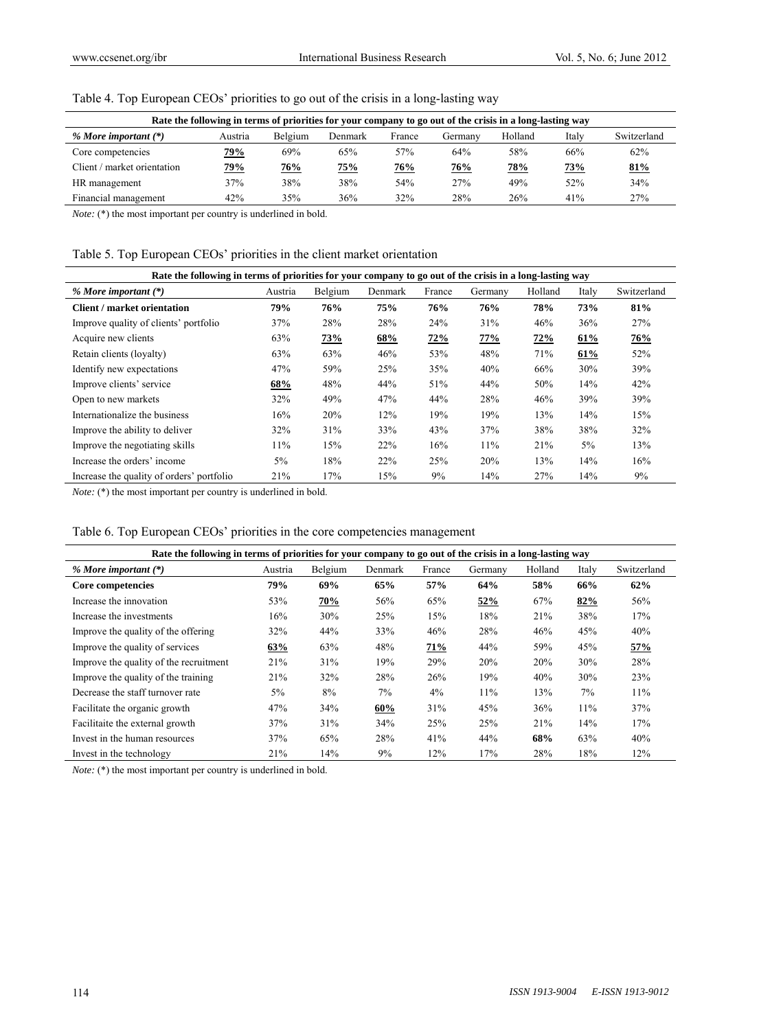| Rate the following in terms of priorities for your company to go out of the crisis in a long-lasting way |         |         |         |        |         |         |       |             |  |  |  |
|----------------------------------------------------------------------------------------------------------|---------|---------|---------|--------|---------|---------|-------|-------------|--|--|--|
| % More important $(*)$                                                                                   | Austria | Belgium | Denmark | France | Germany | Holland | Italy | Switzerland |  |  |  |
| Core competencies                                                                                        | 79%     | 69%     | 65%     | 57%    | 64%     | 58%     | 66%   | 62%         |  |  |  |
| Client / market orientation                                                                              | 79%     | 76%     | 75%     | 76%    | 76%     | 78%     | 73%   | 81%         |  |  |  |
| HR management                                                                                            | 37%     | 38%     | 38%     | 54%    | 27%     | 49%     | 52%   | 34%         |  |  |  |
| Financial management                                                                                     | 42%     | 35%     | 36%     | 32%    | 28%     | 26%     | 41%   | 27%         |  |  |  |

# Table 4. Top European CEOs' priorities to go out of the crisis in a long-lasting way

*Note:* (\*) the most important per country is underlined in bold.

|  | Table 5. Top European CEOs' priorities in the client market orientation |  |  |  |  |  |  |
|--|-------------------------------------------------------------------------|--|--|--|--|--|--|
|--|-------------------------------------------------------------------------|--|--|--|--|--|--|

| Rate the following in terms of priorities for your company to go out of the crisis in a long-lasting way |         |         |         |        |         |         |       |             |  |  |  |
|----------------------------------------------------------------------------------------------------------|---------|---------|---------|--------|---------|---------|-------|-------------|--|--|--|
| % More important $(*)$                                                                                   | Austria | Belgium | Denmark | France | Germany | Holland | Italy | Switzerland |  |  |  |
| <b>Client / market orientation</b>                                                                       | 79%     | 76%     | 75%     | 76%    | 76%     | 78%     | 73%   | 81%         |  |  |  |
| Improve quality of clients' portfolio                                                                    | 37%     | 28%     | 28%     | 24%    | 31%     | 46%     | 36%   | 27%         |  |  |  |
| Acquire new clients                                                                                      | 63%     | 73%     | 68%     | 72%    | 77%     | 72%     | 61%   | 76%         |  |  |  |
| Retain clients (loyalty)                                                                                 | 63%     | 63%     | 46%     | 53%    | 48%     | 71%     | 61%   | 52%         |  |  |  |
| Identify new expectations                                                                                | 47%     | 59%     | 25%     | 35%    | 40%     | 66%     | 30%   | 39%         |  |  |  |
| Improve clients' service                                                                                 | 68%     | 48%     | 44%     | 51%    | 44%     | 50%     | 14%   | 42%         |  |  |  |
| Open to new markets                                                                                      | 32%     | 49%     | 47%     | 44%    | 28%     | 46%     | 39%   | 39%         |  |  |  |
| Internationalize the business                                                                            | 16%     | 20%     | 12%     | 19%    | 19%     | 13%     | 14%   | 15%         |  |  |  |
| Improve the ability to deliver                                                                           | 32%     | 31%     | 33%     | 43%    | 37%     | 38%     | 38%   | 32%         |  |  |  |
| Improve the negotiating skills                                                                           | 11%     | 15%     | 22%     | 16%    | 11%     | 21%     | 5%    | 13%         |  |  |  |
| Increase the orders' income                                                                              | 5%      | 18%     | 22%     | 25%    | 20%     | 13%     | 14%   | 16%         |  |  |  |
| Increase the quality of orders' portfolio                                                                | 21%     | 17%     | 15%     | 9%     | 14%     | 27%     | 14%   | 9%          |  |  |  |

*Note:* (\*) the most important per country is underlined in bold.

|  | Table 6. Top European CEOs' priorities in the core competencies management |
|--|----------------------------------------------------------------------------|
|  |                                                                            |

| Rate the following in terms of priorities for your company to go out of the crisis in a long-lasting way |         |         |         |        |         |         |       |             |  |  |  |
|----------------------------------------------------------------------------------------------------------|---------|---------|---------|--------|---------|---------|-------|-------------|--|--|--|
| % More important $(*)$                                                                                   | Austria | Belgium | Denmark | France | Germany | Holland | Italy | Switzerland |  |  |  |
| Core competencies                                                                                        | 79%     | 69%     | 65%     | 57%    | 64%     | 58%     | 66%   | 62%         |  |  |  |
| Increase the innovation                                                                                  | 53%     | 70%     | 56%     | 65%    | 52%     | 67%     | 82%   | 56%         |  |  |  |
| Increase the investments                                                                                 | 16%     | 30%     | 25%     | 15%    | 18%     | 21%     | 38%   | 17%         |  |  |  |
| Improve the quality of the offering                                                                      | 32%     | 44%     | 33%     | 46%    | 28%     | 46%     | 45%   | 40%         |  |  |  |
| Improve the quality of services                                                                          | 63%     | 63%     | 48%     | 71%    | 44%     | 59%     | 45%   | 57%         |  |  |  |
| Improve the quality of the recruitment                                                                   | 21%     | 31%     | 19%     | 29%    | 20%     | 20%     | 30%   | 28%         |  |  |  |
| Improve the quality of the training                                                                      | 21%     | 32%     | 28%     | 26%    | 19%     | 40%     | 30%   | 23%         |  |  |  |
| Decrease the staff turnover rate                                                                         | 5%      | 8%      | 7%      | 4%     | 11%     | 13%     | 7%    | 11%         |  |  |  |
| Facilitate the organic growth                                                                            | 47%     | 34%     | 60%     | 31%    | 45%     | 36%     | 11%   | 37%         |  |  |  |
| Facilitaite the external growth                                                                          | 37%     | 31%     | 34%     | 25%    | 25%     | 21%     | 14%   | 17%         |  |  |  |
| Invest in the human resources                                                                            | 37%     | 65%     | 28%     | 41%    | 44%     | 68%     | 63%   | 40%         |  |  |  |
| Invest in the technology                                                                                 | 21%     | 14%     | 9%      | 12%    | 17%     | 28%     | 18%   | 12%         |  |  |  |

*Note:* (\*) the most important per country is underlined in bold.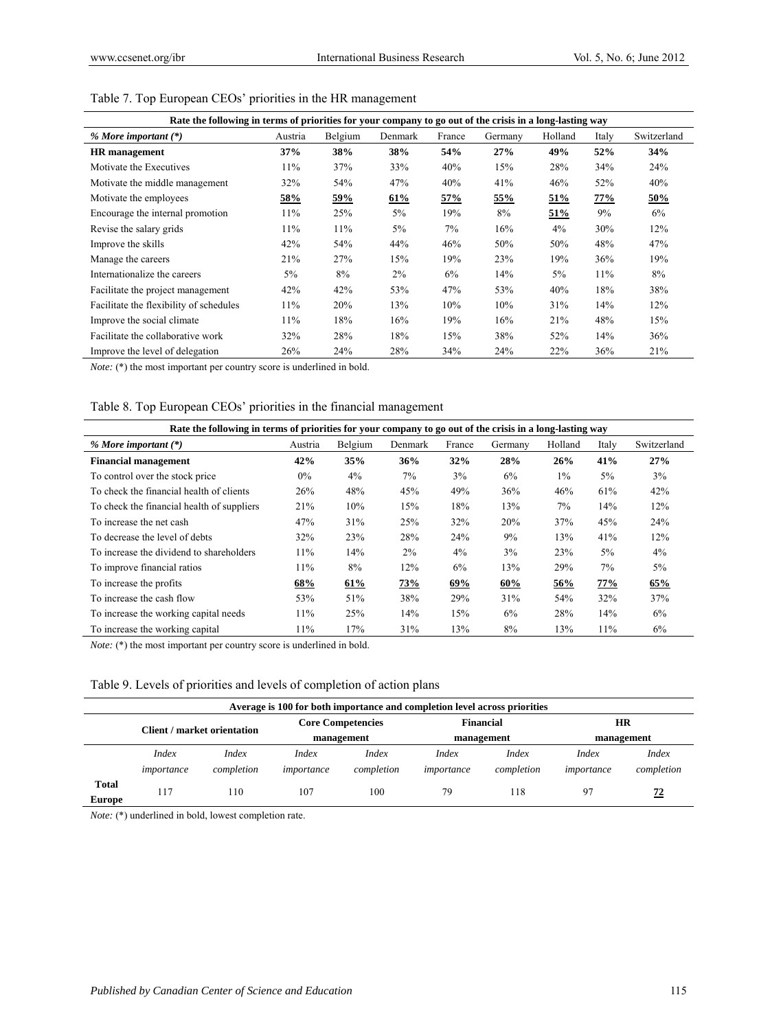| Rate the following in terms of priorities for your company to go out of the crisis in a long-lasting way |         |         |         |        |         |         |       |             |  |  |  |
|----------------------------------------------------------------------------------------------------------|---------|---------|---------|--------|---------|---------|-------|-------------|--|--|--|
| % More important $(*)$                                                                                   | Austria | Belgium | Denmark | France | Germany | Holland | Italy | Switzerland |  |  |  |
| <b>HR</b> management                                                                                     | 37%     | 38%     | 38%     | 54%    | 27%     | 49%     | 52%   | 34%         |  |  |  |
| Motivate the Executives                                                                                  | 11%     | 37%     | 33%     | 40%    | 15%     | 28%     | 34%   | 24%         |  |  |  |
| Motivate the middle management                                                                           | 32%     | 54%     | 47%     | 40%    | 41%     | 46%     | 52%   | 40%         |  |  |  |
| Motivate the employees                                                                                   | 58%     | 59%     | 61%     | 57%    | 55%     | 51%     | 77%   | 50%         |  |  |  |
| Encourage the internal promotion                                                                         | 11%     | 25%     | 5%      | 19%    | 8%      | 51%     | 9%    | 6%          |  |  |  |
| Revise the salary grids                                                                                  | 11%     | 11%     | $5\%$   | 7%     | 16%     | 4%      | 30%   | 12%         |  |  |  |
| Improve the skills                                                                                       | 42%     | 54%     | 44%     | 46%    | 50%     | 50%     | 48%   | 47%         |  |  |  |
| Manage the careers                                                                                       | 21%     | 27%     | 15%     | 19%    | 23%     | 19%     | 36%   | 19%         |  |  |  |
| Internationalize the careers                                                                             | 5%      | 8%      | 2%      | 6%     | 14%     | 5%      | 11%   | 8%          |  |  |  |
| Facilitate the project management                                                                        | 42%     | 42%     | 53%     | 47%    | 53%     | 40%     | 18%   | 38%         |  |  |  |
| Facilitate the flexibility of schedules                                                                  | 11%     | 20%     | 13%     | 10%    | 10%     | 31%     | 14%   | 12%         |  |  |  |
| Improve the social climate                                                                               | 11%     | 18%     | 16%     | 19%    | 16%     | 21%     | 48%   | 15%         |  |  |  |
| Facilitate the collaborative work                                                                        | 32%     | 28%     | 18%     | 15%    | 38%     | 52%     | 14%   | 36%         |  |  |  |
| Improve the level of delegation                                                                          | 26%     | 24%     | 28%     | 34%    | 24%     | 22%     | 36%   | 21%         |  |  |  |

# Table 7. Top European CEOs' priorities in the HR management

*Note:* (\*) the most important per country score is underlined in bold.

#### Table 8. Top European CEOs' priorities in the financial management

| Rate the following in terms of priorities for your company to go out of the crisis in a long-lasting way |         |         |         |        |         |         |       |             |  |  |  |
|----------------------------------------------------------------------------------------------------------|---------|---------|---------|--------|---------|---------|-------|-------------|--|--|--|
| % More important $(*)$                                                                                   | Austria | Belgium | Denmark | France | Germany | Holland | Italy | Switzerland |  |  |  |
| <b>Financial management</b>                                                                              | 42%     | 35%     | 36%     | 32%    | 28%     | 26%     | 41%   | 27%         |  |  |  |
| To control over the stock price                                                                          | $0\%$   | 4%      | 7%      | 3%     | 6%      | $1\%$   | 5%    | 3%          |  |  |  |
| To check the financial health of clients                                                                 | 26%     | 48%     | 45%     | 49%    | 36%     | 46%     | 61%   | 42%         |  |  |  |
| To check the financial health of suppliers                                                               | 21%     | 10%     | 15%     | 18%    | 13%     | 7%      | 14%   | 12%         |  |  |  |
| To increase the net cash                                                                                 | 47%     | 31%     | 25%     | 32%    | 20%     | 37%     | 45%   | 24%         |  |  |  |
| To decrease the level of debts                                                                           | 32%     | 23%     | 28%     | 24%    | 9%      | 13%     | 41%   | 12%         |  |  |  |
| To increase the dividend to shareholders                                                                 | 11%     | 14%     | $2\%$   | 4%     | 3%      | 23%     | 5%    | $4\%$       |  |  |  |
| To improve financial ratios                                                                              | 11%     | 8%      | 12%     | 6%     | 13%     | 29%     | 7%    | 5%          |  |  |  |
| To increase the profits                                                                                  | 68%     | 61%     | 73%     | 69%    | 60%     | 56%     | 77%   | 65%         |  |  |  |
| To increase the cash flow                                                                                | 53%     | 51%     | 38%     | 29%    | 31%     | 54%     | 32%   | 37%         |  |  |  |
| To increase the working capital needs                                                                    | 11%     | 25%     | 14%     | 15%    | 6%      | 28%     | 14%   | 6%          |  |  |  |
| To increase the working capital                                                                          | 11%     | 17%     | 31%     | 13%    | 8%      | 13%     | 11%   | 6%          |  |  |  |

*Note:* (\*) the most important per country score is underlined in bold.

# Table 9. Levels of priorities and levels of completion of action plans

|                               | Average is 100 for both importance and completion level across priorities |            |                     |                            |                     |                            |                                     |            |  |  |  |  |  |
|-------------------------------|---------------------------------------------------------------------------|------------|---------------------|----------------------------|---------------------|----------------------------|-------------------------------------|------------|--|--|--|--|--|
|                               | <b>Client / market orientation</b>                                        |            |                     | <b>Core Competencies</b>   |                     | <b>Financial</b>           | HR                                  |            |  |  |  |  |  |
|                               | <i>Index</i><br><i>Index</i>                                              |            |                     | management                 |                     | management                 | management<br><i>Index</i><br>Index |            |  |  |  |  |  |
|                               | importance                                                                | completion | Index<br>importance | <i>Index</i><br>completion | Index<br>importance | <i>Index</i><br>completion | importance                          | completion |  |  |  |  |  |
| <b>Total</b><br><b>Europe</b> | 117                                                                       | 110        | 107                 | 100                        | 79                  | 18                         | 97                                  | 72         |  |  |  |  |  |

*Note:* (\*) underlined in bold, lowest completion rate.